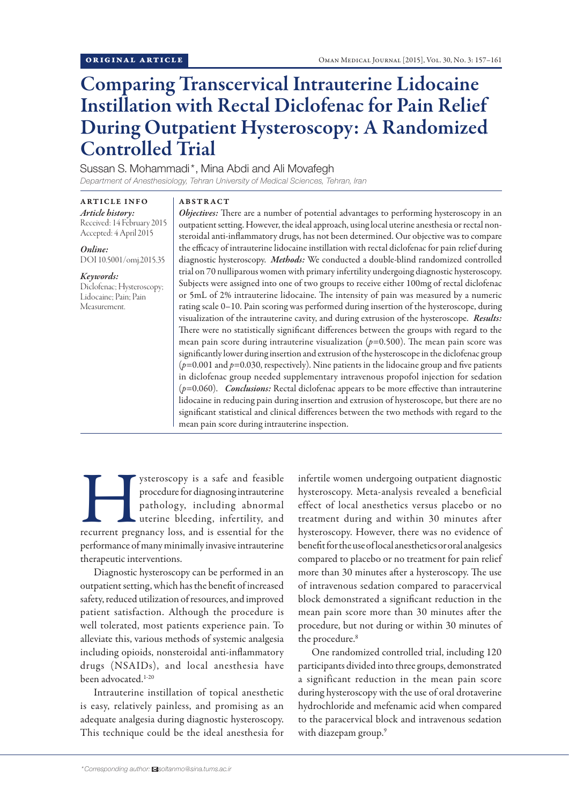# Comparing Transcervical Intrauterine Lidocaine Instillation with Rectal Diclofenac for Pain Relief During Outpatient Hysteroscopy: A Randomized Controlled Trial

Sussan S. Mohammadi\*, Mina Abdi and Ali Movafegh

*Department of Anesthesiology, Tehran University of Medical Sciences, Tehran, Iran*

ARTICLE INFO *Article history:*  Received: 14 February 2015 Accepted: 4 April 2015

*Online:* DOI 10.5001/omj.2015.35

*Keywords:*  Diclofenac; Hysteroscopy; Lidocaine; Pain; Pain Measurement.

## ABSTRACT

*Objectives:* There are a number of potential advantages to performing hysteroscopy in an outpatient setting. However, the ideal approach, using local uterine anesthesia or rectal nonsteroidal anti-inflammatory drugs, has not been determined. Our objective was to compare the efficacy of intrauterine lidocaine instillation with rectal diclofenac for pain relief during diagnostic hysteroscopy. *Methods:* We conducted a double-blind randomized controlled trial on 70 nulliparous women with primary infertility undergoing diagnostic hysteroscopy. Subjects were assigned into one of two groups to receive either 100mg of rectal diclofenac or 5mL of 2% intrauterine lidocaine. The intensity of pain was measured by a numeric rating scale 0–10. Pain scoring was performed during insertion of the hysteroscope, during visualization of the intrauterine cavity, and during extrusion of the hysteroscope. *Results:*  There were no statistically significant differences between the groups with regard to the mean pain score during intrauterine visualization  $(p=0.500)$ . The mean pain score was significantly lower during insertion and extrusion of the hysteroscope in the diclofenac group (*p*=0.001 and *p*=0.030, respectively). Nine patients in the lidocaine group and five patients in diclofenac group needed supplementary intravenous propofol injection for sedation (*p*=0.060). *Conclusions:* Rectal diclofenac appears to be more effective than intrauterine lidocaine in reducing pain during insertion and extrusion of hysteroscope, but there are no significant statistical and clinical differences between the two methods with regard to the mean pain score during intrauterine inspection.

Superioscopy is a safe and feasible procedure for diagnosing intrauterine pathology, including abnormal uterine bleeding, infertility, and recurrent pregnancy loss, and is essential for the procedure for diagnosing intrauterine pathology, including abnormal uterine bleeding, infertility, and performance of many minimally invasive intrauterine therapeutic interventions.

Diagnostic hysteroscopy can be performed in an outpatient setting, which has the benefit of increased safety, reduced utilization of resources, and improved patient satisfaction. Although the procedure is well tolerated, most patients experience pain. To alleviate this, various methods of systemic analgesia including opioids, nonsteroidal anti-inflammatory drugs (NSAIDs), and local anesthesia have been advocated.<sup>1-20</sup>

Intrauterine instillation of topical anesthetic is easy, relatively painless, and promising as an adequate analgesia during diagnostic hysteroscopy. This technique could be the ideal anesthesia for infertile women undergoing outpatient diagnostic hysteroscopy. Meta-analysis revealed a beneficial effect of local anesthetics versus placebo or no treatment during and within 30 minutes after hysteroscopy. However, there was no evidence of benefit for the use of local anesthetics or oral analgesics compared to placebo or no treatment for pain relief more than 30 minutes after a hysteroscopy. The use of intravenous sedation compared to paracervical block demonstrated a significant reduction in the mean pain score more than 30 minutes after the procedure, but not during or within 30 minutes of the procedure.<sup>8</sup>

One randomized controlled trial, including 120 participants divided into three groups, demonstrated a significant reduction in the mean pain score during hysteroscopy with the use of oral drotaverine hydrochloride and mefenamic acid when compared to the paracervical block and intravenous sedation with diazepam group.<sup>9</sup>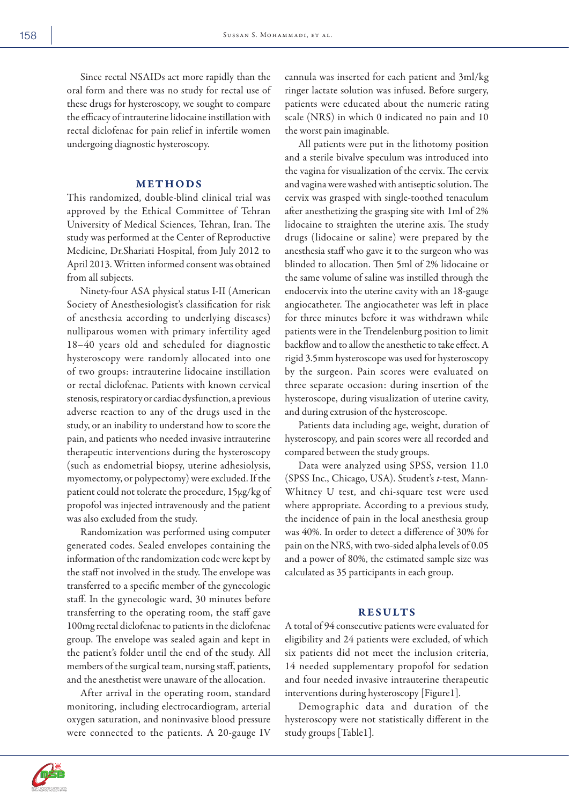Since rectal NSAIDs act more rapidly than the oral form and there was no study for rectal use of these drugs for hysteroscopy, we sought to compare the efficacy of intrauterine lidocaine instillation with rectal diclofenac for pain relief in infertile women undergoing diagnostic hysteroscopy.

# METHODS

This randomized, double-blind clinical trial was approved by the Ethical Committee of Tehran University of Medical Sciences, Tehran, Iran. The study was performed at the Center of Reproductive Medicine, Dr.Shariati Hospital, from July 2012 to April 2013. Written informed consent was obtained from all subjects.

Ninety-four ASA physical status I-II (American Society of Anesthesiologist's classification for risk of anesthesia according to underlying diseases) nulliparous women with primary infertility aged 18–40 years old and scheduled for diagnostic hysteroscopy were randomly allocated into one of two groups: intrauterine lidocaine instillation or rectal diclofenac. Patients with known cervical stenosis, respiratory or cardiac dysfunction, a previous adverse reaction to any of the drugs used in the study, or an inability to understand how to score the pain, and patients who needed invasive intrauterine therapeutic interventions during the hysteroscopy (such as endometrial biopsy, uterine adhesiolysis, myomectomy, or polypectomy) were excluded. If the patient could not tolerate the procedure, 15µg/kg of propofol was injected intravenously and the patient was also excluded from the study.

Randomization was performed using computer generated codes. Sealed envelopes containing the information of the randomization code were kept by the staff not involved in the study. The envelope was transferred to a specific member of the gynecologic staff. In the gynecologic ward, 30 minutes before transferring to the operating room, the staff gave 100mg rectal diclofenac to patients in the diclofenac group. The envelope was sealed again and kept in the patient's folder until the end of the study. All members of the surgical team, nursing staff, patients, and the anesthetist were unaware of the allocation.

After arrival in the operating room, standard monitoring, including electrocardiogram, arterial oxygen saturation, and noninvasive blood pressure were connected to the patients. A 20-gauge IV cannula was inserted for each patient and 3ml/kg ringer lactate solution was infused. Before surgery, patients were educated about the numeric rating scale (NRS) in which 0 indicated no pain and 10 the worst pain imaginable.

All patients were put in the lithotomy position and a sterile bivalve speculum was introduced into the vagina for visualization of the cervix. The cervix and vagina were washed with antiseptic solution. The cervix was grasped with single-toothed tenaculum after anesthetizing the grasping site with 1ml of 2% lidocaine to straighten the uterine axis. The study drugs (lidocaine or saline) were prepared by the anesthesia staff who gave it to the surgeon who was blinded to allocation. Then 5ml of 2% lidocaine or the same volume of saline was instilled through the endocervix into the uterine cavity with an 18-gauge angiocatheter. The angiocatheter was left in place for three minutes before it was withdrawn while patients were in the Trendelenburg position to limit backflow and to allow the anesthetic to take effect. A rigid 3.5mm hysteroscope was used for hysteroscopy by the surgeon. Pain scores were evaluated on three separate occasion: during insertion of the hysteroscope, during visualization of uterine cavity, and during extrusion of the hysteroscope.

Patients data including age, weight, duration of hysteroscopy, and pain scores were all recorded and compared between the study groups.

Data were analyzed using SPSS, version 11.0 (SPSS Inc., Chicago, USA). Student's *t*-test, Mann-Whitney U test, and chi-square test were used where appropriate. According to a previous study, the incidence of pain in the local anesthesia group was 40%. In order to detect a difference of 30% for pain on the NRS, with two-sided alpha levels of 0.05 and a power of 80%, the estimated sample size was calculated as 35 participants in each group.

# RESULTS

A total of 94 consecutive patients were evaluated for eligibility and 24 patients were excluded, of which six patients did not meet the inclusion criteria, 14 needed supplementary propofol for sedation and four needed invasive intrauterine therapeutic interventions during hysteroscopy [Figure1].

Demographic data and duration of the hysteroscopy were not statistically different in the study groups [Table1].

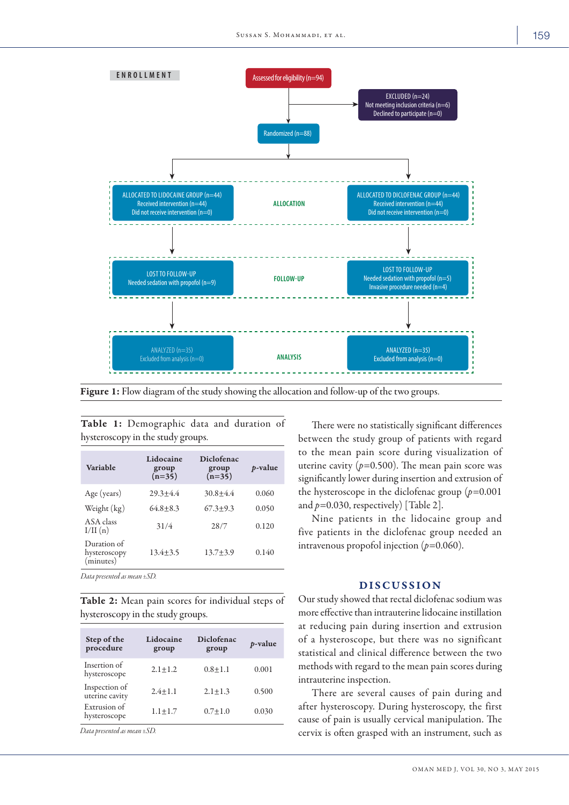

Figure 1: Flow diagram of the study showing the allocation and follow-up of the two groups.

| Variable                                 | Lidocaine<br>group<br>$(n=35)$ | <b>Diclofenac</b><br>group<br>$(n=35)$ | <i>p</i> -value |
|------------------------------------------|--------------------------------|----------------------------------------|-----------------|
| Age (years)                              | $29.3 + 4.4$                   | $30.8 + 4.4$                           | 0.060           |
| Weight (kg)                              | $64.8 + 8.3$                   | $67.3 + 9.3$                           | 0.050           |
| ASA class<br>I/II(n)                     | 31/4                           | 28/7                                   | 0.120           |
| Duration of<br>hysteroscopy<br>(minutes) | $13.4 + 3.5$                   | $13.7 + 3.9$                           | 0.140           |

Table 1: Demographic data and duration of hysteroscopy in the study groups.

*Data presented as mean ±SD.*

Table 2: Mean pain scores for individual steps of hysteroscopy in the study groups.

| Step of the<br>procedure        | Lidocaine<br>group | Diclofenac<br>group | <i>p</i> -value |
|---------------------------------|--------------------|---------------------|-----------------|
| Insertion of<br>hysteroscope    | $2.1 + 1.2$        | $0.8 + 1.1$         | 0.001           |
| Inspection of<br>uterine cavity | $2.4 + 1.1$        | $2.1 + 1.3$         | 0.500           |
| Extrusion of<br>hysteroscope    | $1.1 + 1.7$        | $0.7 + 1.0$         | 0.030           |

*Data presented as mean ±SD.*

There were no statistically significant differences between the study group of patients with regard to the mean pain score during visualization of uterine cavity  $(p=0.500)$ . The mean pain score was significantly lower during insertion and extrusion of the hysteroscope in the diclofenac group (*p=*0.001 and *p=*0.030, respectively) [Table 2].

Nine patients in the lidocaine group and five patients in the diclofenac group needed an intravenous propofol injection (*p=*0.060).

## DISCUSSION

Our study showed that rectal diclofenac sodium was more effective than intrauterine lidocaine instillation at reducing pain during insertion and extrusion of a hysteroscope, but there was no significant statistical and clinical difference between the two methods with regard to the mean pain scores during intrauterine inspection.

There are several causes of pain during and after hysteroscopy. During hysteroscopy, the first cause of pain is usually cervical manipulation. The cervix is often grasped with an instrument, such as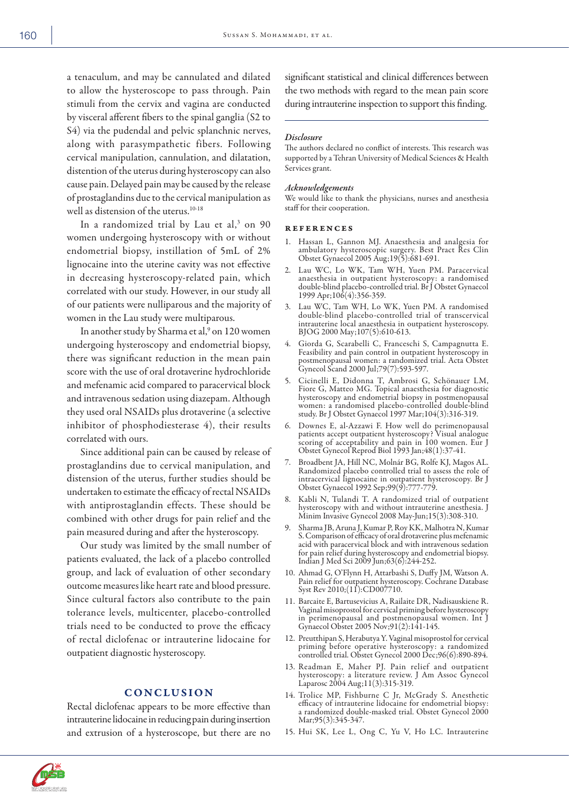a tenaculum, and may be cannulated and dilated to allow the hysteroscope to pass through. Pain stimuli from the cervix and vagina are conducted by visceral afferent fibers to the spinal ganglia (S2 to S4) via the pudendal and pelvic splanchnic nerves, along with parasympathetic fibers. Following cervical manipulation, cannulation, and dilatation, distention of the uterus during hysteroscopy can also cause pain. Delayed pain may be caused by the release of prostaglandins due to the cervical manipulation as well as distension of the uterus.<sup>10-18</sup>

In a randomized trial by Lau et al,<sup>3</sup> on 90 women undergoing hysteroscopy with or without endometrial biopsy, instillation of 5mL of 2% lignocaine into the uterine cavity was not effective in decreasing hysteroscopy-related pain, which correlated with our study. However, in our study all of our patients were nulliparous and the majority of women in the Lau study were multiparous.

In another study by Sharma et al,<sup>9</sup> on 120 women undergoing hysteroscopy and endometrial biopsy, there was significant reduction in the mean pain score with the use of oral drotaverine hydrochloride and mefenamic acid compared to paracervical block and intravenous sedation using diazepam. Although they used oral NSAIDs plus drotaverine (a selective inhibitor of phosphodiesterase 4), their results correlated with ours.

Since additional pain can be caused by release of prostaglandins due to cervical manipulation, and distension of the uterus, further studies should be undertaken to estimate the efficacy of rectal NSAIDs with antiprostaglandin effects. These should be combined with other drugs for pain relief and the pain measured during and after the hysteroscopy.

Our study was limited by the small number of patients evaluated, the lack of a placebo controlled group, and lack of evaluation of other secondary outcome measures like heart rate and blood pressure. Since cultural factors also contribute to the pain tolerance levels, multicenter, placebo-controlled trials need to be conducted to prove the efficacy of rectal diclofenac or intrauterine lidocaine for outpatient diagnostic hysteroscopy.

### **CONCLUSION**

Rectal diclofenac appears to be more effective than intrauterine lidocaine in reducing pain during insertion and extrusion of a hysteroscope, but there are no significant statistical and clinical differences between the two methods with regard to the mean pain score during intrauterine inspection to support this finding.

#### *Disclosure*

The authors declared no conflict of interests. This research was supported by a Tehran University of Medical Sciences & Health Services grant.

#### *Acknowledgements*

We would like to thank the physicians, nurses and anesthesia staff for their cooperation.

#### references

- 1. Hassan L, Gannon MJ. Anaesthesia and analgesia for ambulatory hysteroscopic surgery. Best Pract Res Clin Obstet Gynaecol 2005 Aug;19(5):681-691.
- 2. Lau WC, Lo WK, Tam WH, Yuen PM. Paracervical anaesthesia in outpatient hysteroscopy: a randomised double-blind placebo-controlled trial. Br J Obstet Gynaecol 1999 Apr;106(4):356-359.
- 3. Lau WC, Tam WH, Lo WK, Yuen PM. A randomised double-blind placebo-controlled trial of transcervical intrauterine local anaesthesia in outpatient hysteroscopy. BJOG 2000 May;107(5):610-613.
- 4. Giorda G, Scarabelli C, Franceschi S, Campagnutta E. Feasibility and pain control in outpatient hysteroscopy in postmenopausal women: a randomized trial. Acta Obstet Gynecol Scand 2000 Jul;79(7):593-597.
- 5. Cicinelli E, Didonna T, Ambrosi G, Schönauer LM, Fiore G, Matteo MG. Topical anaesthesia for diagnostic hysteroscopy and endometrial biopsy in postmenopausal women: a randomised placebo-controlled double-blind study. Br J Obstet Gynaecol 1997 Mar;104(3):316-319.
- 6. Downes E, al-Azzawi F. How well do perimenopausal patients accept outpatient hysteroscopy? Visual analogue scoring of acceptability and pain in 100 women. Eur J Obstet Gynecol Reprod Biol 1993 Jan;48(1):37-41.
- 7. Broadbent JA, Hill NC, Molnár BG, Rolfe KJ, Magos AL. Randomized placebo controlled trial to assess the role of intracervical lignocaine in outpatient hysteroscopy. Br J Obstet Gynaecol 1992 Sep;99(9):777-779.
- 8. Kabli N, Tulandi T. A randomized trial of outpatient hysteroscopy with and without intrauterine anesthesia. J Minim Invasive Gynecol 2008 May-Jun;15(3):308-310.
- 9. Sharma JB, Aruna J, Kumar P, Roy KK, Malhotra N, Kumar S. Comparison of efficacy of oral drotaverine plus mefenamic acid with paracervical block and with intravenous sedation for pain relief during hysteroscopy and endometrial biopsy. Indian J Med Sci 2009 Jun;63(6):244-252.
- 10. Ahmad G, O'Flynn H, Attarbashi S, Duffy JM, Watson A. Pain relief for outpatient hysteroscopy. Cochrane Database Syst Rev 2010;(11):CD007710.
- 11. Barcaite E, Bartusevicius A, Railaite DR, Nadisauskiene R. Vaginal misoprostol for cervical priming before hysteroscopy in perimenopausal and postmenopausal women. Int J Gynaecol Obstet 2005 Nov;91(2):141-145.
- 12. Preutthipan S, Herabutya Y. Vaginal misoprostol for cervical priming before operative hysteroscopy: a randomized controlled trial. Obstet Gynecol 2000 Dec;96(6):890-894.
- 13. Readman E, Maher PJ. Pain relief and outpatient hysteroscopy: a literature review. J Am Assoc Gynecol Laparosc 2004 Aug;11(3):315-319.
- 14. Trolice MP, Fishburne C Jr, McGrady S. Anesthetic efficacy of intrauterine lidocaine for endometrial biopsy: a randomized double-masked trial. Obstet Gynecol 2000 Mar;95(3):345-347.
- 15. Hui SK, Lee L, Ong C, Yu V, Ho LC. Intrauterine